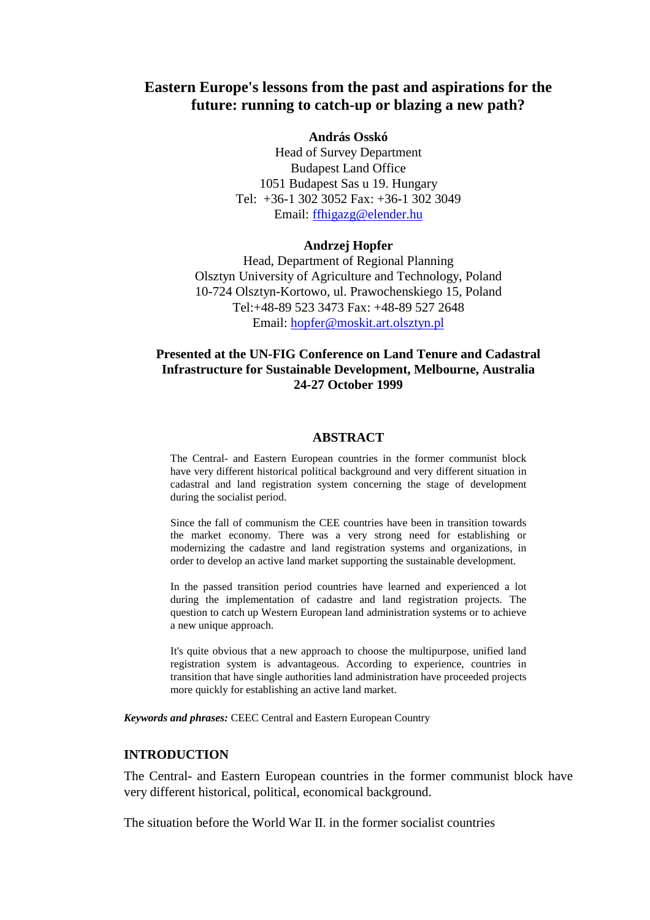# **Eastern Europe's lessons from the past and aspirations for the future: running to catch-up or blazing a new path?**

#### **András Osskó**

Head of Survey Department Budapest Land Office 1051 Budapest Sas u 19. Hungary Tel: +36-1 302 3052 Fax: +36-1 302 3049 Email: ffhigazg@elender.hu

#### **Andrzej Hopfer**

Head, Department of Regional Planning Olsztyn University of Agriculture and Technology, Poland 10-724 Olsztyn-Kortowo, ul. Prawochenskiego 15, Poland Tel:+48-89 523 3473 Fax: +48-89 527 2648 Email: hopfer@moskit.art.olsztyn.pl

# **Presented at the UN-FIG Conference on Land Tenure and Cadastral Infrastructure for Sustainable Development, Melbourne, Australia 24-27 October 1999**

#### **ABSTRACT**

The Central- and Eastern European countries in the former communist block have very different historical political background and very different situation in cadastral and land registration system concerning the stage of development during the socialist period.

Since the fall of communism the CEE countries have been in transition towards the market economy. There was a very strong need for establishing or modernizing the cadastre and land registration systems and organizations, in order to develop an active land market supporting the sustainable development.

In the passed transition period countries have learned and experienced a lot during the implementation of cadastre and land registration projects. The question to catch up Western European land administration systems or to achieve a new unique approach.

It's quite obvious that a new approach to choose the multipurpose, unified land registration system is advantageous. According to experience, countries in transition that have single authorities land administration have proceeded projects more quickly for establishing an active land market.

*Keywords and phrases:* CEEC Central and Eastern European Country

#### **INTRODUCTION**

The Central- and Eastern European countries in the former communist block have very different historical, political, economical background.

The situation before the World War II. in the former socialist countries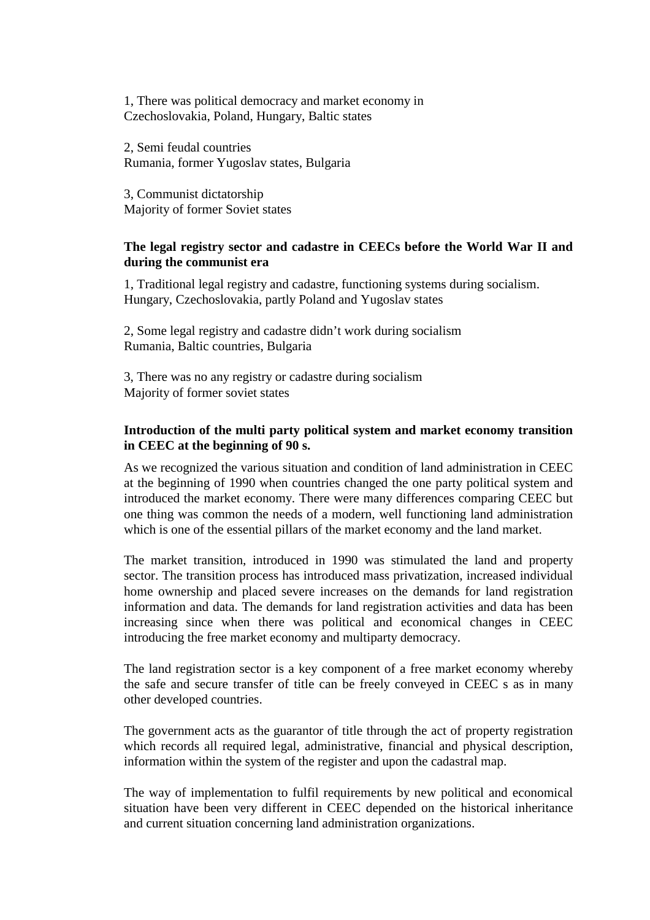1, There was political democracy and market economy in Czechoslovakia, Poland, Hungary, Baltic states

2, Semi feudal countries Rumania, former Yugoslav states, Bulgaria

3, Communist dictatorship Majority of former Soviet states

### **The legal registry sector and cadastre in CEECs before the World War II and during the communist era**

1, Traditional legal registry and cadastre, functioning systems during socialism. Hungary, Czechoslovakia, partly Poland and Yugoslav states

2, Some legal registry and cadastre didn't work during socialism Rumania, Baltic countries, Bulgaria

3, There was no any registry or cadastre during socialism Majority of former soviet states

### **Introduction of the multi party political system and market economy transition in CEEC at the beginning of 90 s.**

As we recognized the various situation and condition of land administration in CEEC at the beginning of 1990 when countries changed the one party political system and introduced the market economy. There were many differences comparing CEEC but one thing was common the needs of a modern, well functioning land administration which is one of the essential pillars of the market economy and the land market.

The market transition, introduced in 1990 was stimulated the land and property sector. The transition process has introduced mass privatization, increased individual home ownership and placed severe increases on the demands for land registration information and data. The demands for land registration activities and data has been increasing since when there was political and economical changes in CEEC introducing the free market economy and multiparty democracy.

The land registration sector is a key component of a free market economy whereby the safe and secure transfer of title can be freely conveyed in CEEC s as in many other developed countries.

The government acts as the guarantor of title through the act of property registration which records all required legal, administrative, financial and physical description, information within the system of the register and upon the cadastral map.

The way of implementation to fulfil requirements by new political and economical situation have been very different in CEEC depended on the historical inheritance and current situation concerning land administration organizations.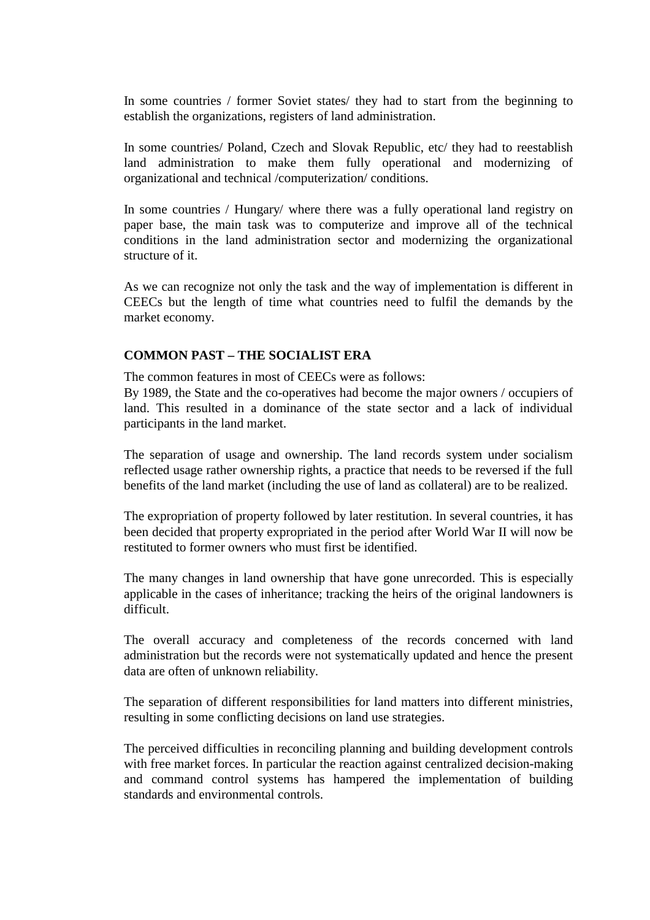In some countries / former Soviet states/ they had to start from the beginning to establish the organizations, registers of land administration.

In some countries/ Poland, Czech and Slovak Republic, etc/ they had to reestablish land administration to make them fully operational and modernizing of organizational and technical /computerization/ conditions.

In some countries / Hungary/ where there was a fully operational land registry on paper base, the main task was to computerize and improve all of the technical conditions in the land administration sector and modernizing the organizational structure of it.

As we can recognize not only the task and the way of implementation is different in CEECs but the length of time what countries need to fulfil the demands by the market economy.

### **COMMON PAST – THE SOCIALIST ERA**

The common features in most of CEECs were as follows:

By 1989, the State and the co-operatives had become the major owners / occupiers of land. This resulted in a dominance of the state sector and a lack of individual participants in the land market.

The separation of usage and ownership. The land records system under socialism reflected usage rather ownership rights, a practice that needs to be reversed if the full benefits of the land market (including the use of land as collateral) are to be realized.

The expropriation of property followed by later restitution. In several countries, it has been decided that property expropriated in the period after World War II will now be restituted to former owners who must first be identified.

The many changes in land ownership that have gone unrecorded. This is especially applicable in the cases of inheritance; tracking the heirs of the original landowners is difficult.

The overall accuracy and completeness of the records concerned with land administration but the records were not systematically updated and hence the present data are often of unknown reliability.

The separation of different responsibilities for land matters into different ministries, resulting in some conflicting decisions on land use strategies.

The perceived difficulties in reconciling planning and building development controls with free market forces. In particular the reaction against centralized decision-making and command control systems has hampered the implementation of building standards and environmental controls.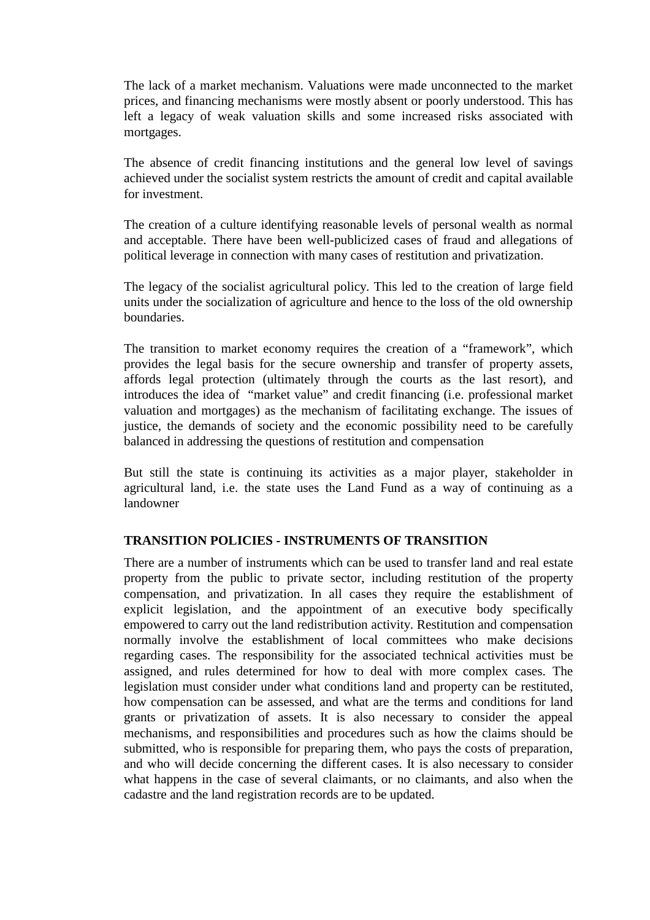The lack of a market mechanism. Valuations were made unconnected to the market prices, and financing mechanisms were mostly absent or poorly understood. This has left a legacy of weak valuation skills and some increased risks associated with mortgages.

The absence of credit financing institutions and the general low level of savings achieved under the socialist system restricts the amount of credit and capital available for investment.

The creation of a culture identifying reasonable levels of personal wealth as normal and acceptable. There have been well-publicized cases of fraud and allegations of political leverage in connection with many cases of restitution and privatization.

The legacy of the socialist agricultural policy. This led to the creation of large field units under the socialization of agriculture and hence to the loss of the old ownership boundaries.

The transition to market economy requires the creation of a "framework", which provides the legal basis for the secure ownership and transfer of property assets, affords legal protection (ultimately through the courts as the last resort), and introduces the idea of "market value" and credit financing (i.e. professional market valuation and mortgages) as the mechanism of facilitating exchange. The issues of justice, the demands of society and the economic possibility need to be carefully balanced in addressing the questions of restitution and compensation

But still the state is continuing its activities as a major player, stakeholder in agricultural land, i.e. the state uses the Land Fund as a way of continuing as a landowner

#### **TRANSITION POLICIES - INSTRUMENTS OF TRANSITION**

There are a number of instruments which can be used to transfer land and real estate property from the public to private sector, including restitution of the property compensation, and privatization. In all cases they require the establishment of explicit legislation, and the appointment of an executive body specifically empowered to carry out the land redistribution activity. Restitution and compensation normally involve the establishment of local committees who make decisions regarding cases. The responsibility for the associated technical activities must be assigned, and rules determined for how to deal with more complex cases. The legislation must consider under what conditions land and property can be restituted, how compensation can be assessed, and what are the terms and conditions for land grants or privatization of assets. It is also necessary to consider the appeal mechanisms, and responsibilities and procedures such as how the claims should be submitted, who is responsible for preparing them, who pays the costs of preparation, and who will decide concerning the different cases. It is also necessary to consider what happens in the case of several claimants, or no claimants, and also when the cadastre and the land registration records are to be updated.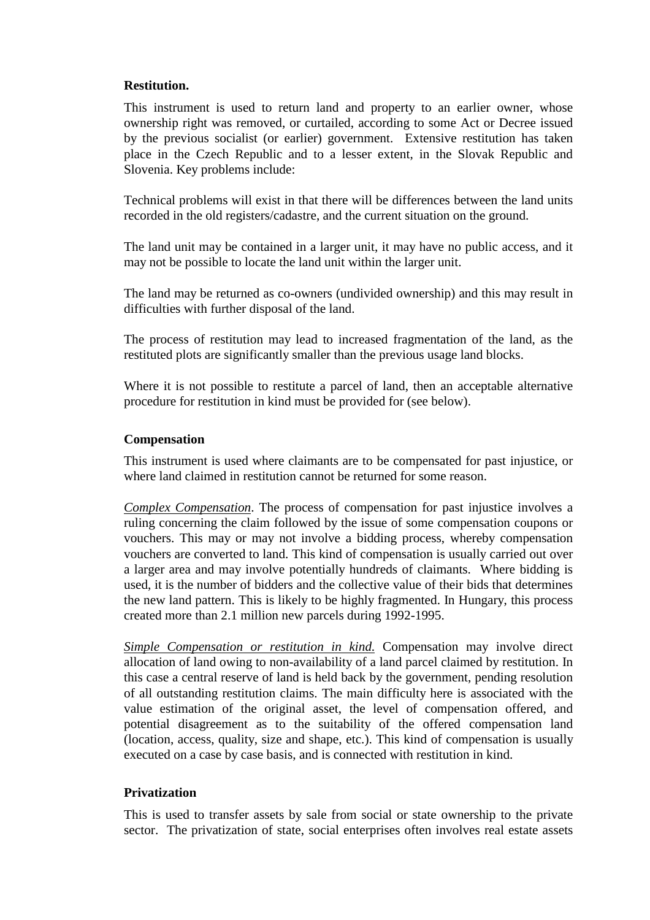#### **Restitution.**

This instrument is used to return land and property to an earlier owner, whose ownership right was removed, or curtailed, according to some Act or Decree issued by the previous socialist (or earlier) government. Extensive restitution has taken place in the Czech Republic and to a lesser extent, in the Slovak Republic and Slovenia. Key problems include:

Technical problems will exist in that there will be differences between the land units recorded in the old registers/cadastre, and the current situation on the ground.

The land unit may be contained in a larger unit, it may have no public access, and it may not be possible to locate the land unit within the larger unit.

The land may be returned as co-owners (undivided ownership) and this may result in difficulties with further disposal of the land.

The process of restitution may lead to increased fragmentation of the land, as the restituted plots are significantly smaller than the previous usage land blocks.

Where it is not possible to restitute a parcel of land, then an acceptable alternative procedure for restitution in kind must be provided for (see below).

#### **Compensation**

This instrument is used where claimants are to be compensated for past injustice, or where land claimed in restitution cannot be returned for some reason.

*Complex Compensation*. The process of compensation for past injustice involves a ruling concerning the claim followed by the issue of some compensation coupons or vouchers. This may or may not involve a bidding process, whereby compensation vouchers are converted to land. This kind of compensation is usually carried out over a larger area and may involve potentially hundreds of claimants. Where bidding is used, it is the number of bidders and the collective value of their bids that determines the new land pattern. This is likely to be highly fragmented. In Hungary, this process created more than 2.1 million new parcels during 1992-1995.

*Simple Compensation or restitution in kind.* Compensation may involve direct allocation of land owing to non-availability of a land parcel claimed by restitution. In this case a central reserve of land is held back by the government, pending resolution of all outstanding restitution claims. The main difficulty here is associated with the value estimation of the original asset, the level of compensation offered, and potential disagreement as to the suitability of the offered compensation land (location, access, quality, size and shape, etc.). This kind of compensation is usually executed on a case by case basis, and is connected with restitution in kind.

#### **Privatization**

This is used to transfer assets by sale from social or state ownership to the private sector. The privatization of state, social enterprises often involves real estate assets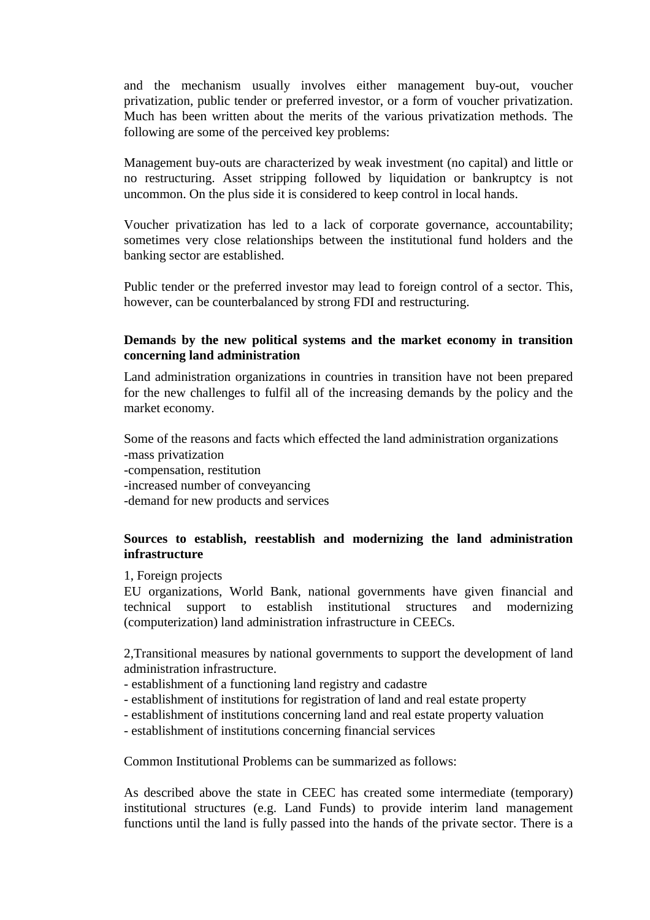and the mechanism usually involves either management buy-out, voucher privatization, public tender or preferred investor, or a form of voucher privatization. Much has been written about the merits of the various privatization methods. The following are some of the perceived key problems:

Management buy-outs are characterized by weak investment (no capital) and little or no restructuring. Asset stripping followed by liquidation or bankruptcy is not uncommon. On the plus side it is considered to keep control in local hands.

Voucher privatization has led to a lack of corporate governance, accountability; sometimes very close relationships between the institutional fund holders and the banking sector are established.

Public tender or the preferred investor may lead to foreign control of a sector. This, however, can be counterbalanced by strong FDI and restructuring.

### **Demands by the new political systems and the market economy in transition concerning land administration**

Land administration organizations in countries in transition have not been prepared for the new challenges to fulfil all of the increasing demands by the policy and the market economy.

Some of the reasons and facts which effected the land administration organizations -mass privatization -compensation, restitution -increased number of conveyancing -demand for new products and services

# **Sources to establish, reestablish and modernizing the land administration infrastructure**

1, Foreign projects

EU organizations, World Bank, national governments have given financial and technical support to establish institutional structures and modernizing (computerization) land administration infrastructure in CEECs.

2,Transitional measures by national governments to support the development of land administration infrastructure.

- establishment of a functioning land registry and cadastre
- establishment of institutions for registration of land and real estate property
- establishment of institutions concerning land and real estate property valuation
- establishment of institutions concerning financial services

Common Institutional Problems can be summarized as follows:

As described above the state in CEEC has created some intermediate (temporary) institutional structures (e.g. Land Funds) to provide interim land management functions until the land is fully passed into the hands of the private sector. There is a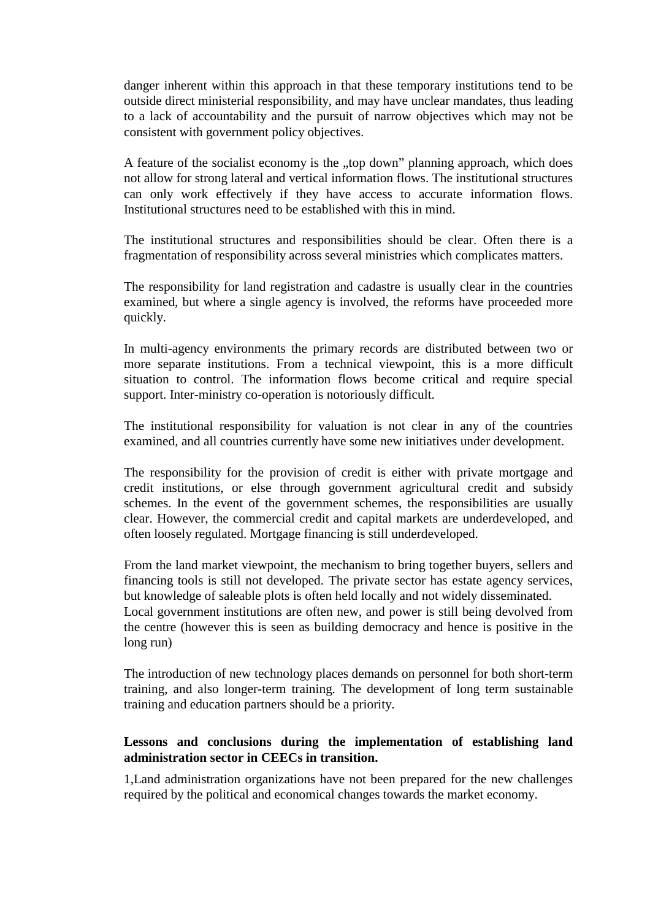danger inherent within this approach in that these temporary institutions tend to be outside direct ministerial responsibility, and may have unclear mandates, thus leading to a lack of accountability and the pursuit of narrow objectives which may not be consistent with government policy objectives.

A feature of the socialist economy is the "top down" planning approach, which does not allow for strong lateral and vertical information flows. The institutional structures can only work effectively if they have access to accurate information flows. Institutional structures need to be established with this in mind.

The institutional structures and responsibilities should be clear. Often there is a fragmentation of responsibility across several ministries which complicates matters.

The responsibility for land registration and cadastre is usually clear in the countries examined, but where a single agency is involved, the reforms have proceeded more quickly.

In multi-agency environments the primary records are distributed between two or more separate institutions. From a technical viewpoint, this is a more difficult situation to control. The information flows become critical and require special support. Inter-ministry co-operation is notoriously difficult.

The institutional responsibility for valuation is not clear in any of the countries examined, and all countries currently have some new initiatives under development.

The responsibility for the provision of credit is either with private mortgage and credit institutions, or else through government agricultural credit and subsidy schemes. In the event of the government schemes, the responsibilities are usually clear. However, the commercial credit and capital markets are underdeveloped, and often loosely regulated. Mortgage financing is still underdeveloped.

From the land market viewpoint, the mechanism to bring together buyers, sellers and financing tools is still not developed. The private sector has estate agency services, but knowledge of saleable plots is often held locally and not widely disseminated.

Local government institutions are often new, and power is still being devolved from the centre (however this is seen as building democracy and hence is positive in the long run)

The introduction of new technology places demands on personnel for both short-term training, and also longer-term training. The development of long term sustainable training and education partners should be a priority.

# **Lessons and conclusions during the implementation of establishing land administration sector in CEECs in transition.**

1,Land administration organizations have not been prepared for the new challenges required by the political and economical changes towards the market economy.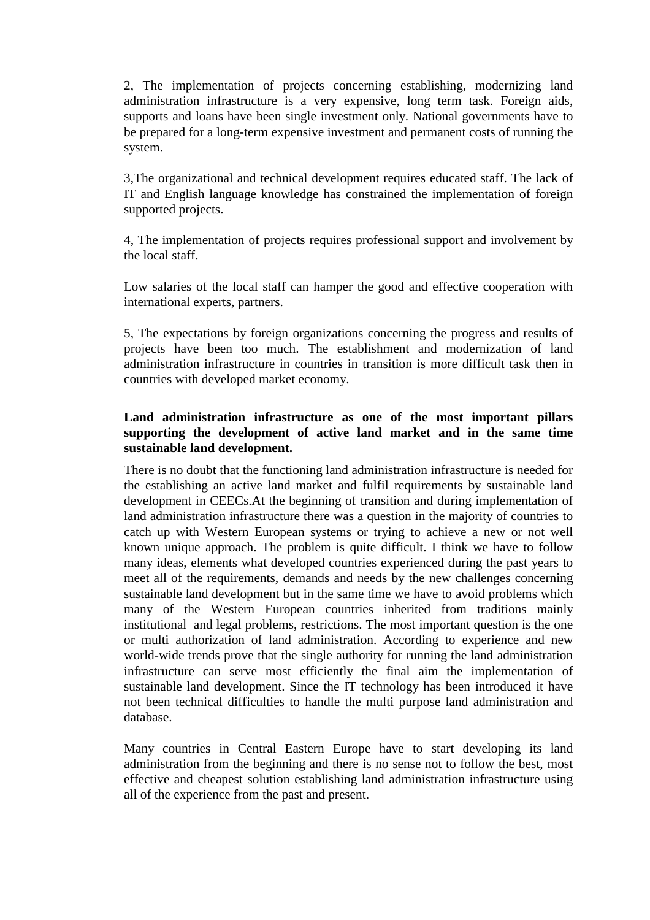2, The implementation of projects concerning establishing, modernizing land administration infrastructure is a very expensive, long term task. Foreign aids, supports and loans have been single investment only. National governments have to be prepared for a long-term expensive investment and permanent costs of running the system.

3,The organizational and technical development requires educated staff. The lack of IT and English language knowledge has constrained the implementation of foreign supported projects.

4, The implementation of projects requires professional support and involvement by the local staff.

Low salaries of the local staff can hamper the good and effective cooperation with international experts, partners.

5, The expectations by foreign organizations concerning the progress and results of projects have been too much. The establishment and modernization of land administration infrastructure in countries in transition is more difficult task then in countries with developed market economy.

# **Land administration infrastructure as one of the most important pillars supporting the development of active land market and in the same time sustainable land development.**

There is no doubt that the functioning land administration infrastructure is needed for the establishing an active land market and fulfil requirements by sustainable land development in CEECs.At the beginning of transition and during implementation of land administration infrastructure there was a question in the majority of countries to catch up with Western European systems or trying to achieve a new or not well known unique approach. The problem is quite difficult. I think we have to follow many ideas, elements what developed countries experienced during the past years to meet all of the requirements, demands and needs by the new challenges concerning sustainable land development but in the same time we have to avoid problems which many of the Western European countries inherited from traditions mainly institutional and legal problems, restrictions. The most important question is the one or multi authorization of land administration. According to experience and new world-wide trends prove that the single authority for running the land administration infrastructure can serve most efficiently the final aim the implementation of sustainable land development. Since the IT technology has been introduced it have not been technical difficulties to handle the multi purpose land administration and database.

Many countries in Central Eastern Europe have to start developing its land administration from the beginning and there is no sense not to follow the best, most effective and cheapest solution establishing land administration infrastructure using all of the experience from the past and present.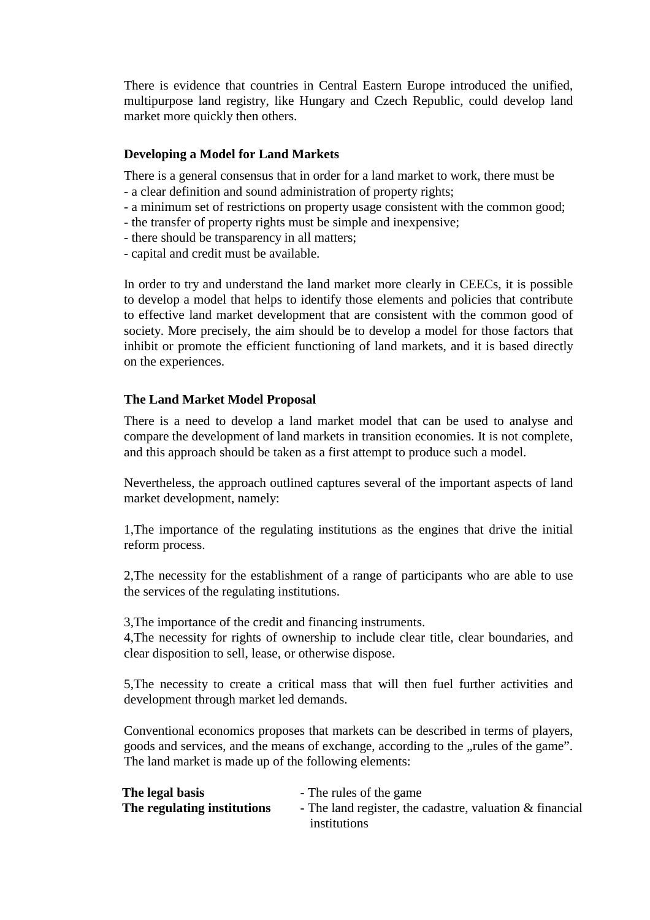There is evidence that countries in Central Eastern Europe introduced the unified, multipurpose land registry, like Hungary and Czech Republic, could develop land market more quickly then others.

### **Developing a Model for Land Markets**

There is a general consensus that in order for a land market to work, there must be

- a clear definition and sound administration of property rights;
- a minimum set of restrictions on property usage consistent with the common good;
- the transfer of property rights must be simple and inexpensive;
- there should be transparency in all matters;
- capital and credit must be available.

In order to try and understand the land market more clearly in CEECs, it is possible to develop a model that helps to identify those elements and policies that contribute to effective land market development that are consistent with the common good of society. More precisely, the aim should be to develop a model for those factors that inhibit or promote the efficient functioning of land markets, and it is based directly on the experiences.

# **The Land Market Model Proposal**

There is a need to develop a land market model that can be used to analyse and compare the development of land markets in transition economies. It is not complete, and this approach should be taken as a first attempt to produce such a model.

Nevertheless, the approach outlined captures several of the important aspects of land market development, namely:

1,The importance of the regulating institutions as the engines that drive the initial reform process.

2,The necessity for the establishment of a range of participants who are able to use the services of the regulating institutions.

3,The importance of the credit and financing instruments.

4,The necessity for rights of ownership to include clear title, clear boundaries, and clear disposition to sell, lease, or otherwise dispose.

5,The necessity to create a critical mass that will then fuel further activities and development through market led demands.

Conventional economics proposes that markets can be described in terms of players, goods and services, and the means of exchange, according to the "rules of the game". The land market is made up of the following elements:

| The legal basis             | - The rules of the game                                    |
|-----------------------------|------------------------------------------------------------|
| The regulating institutions | - The land register, the cadastre, valuation $&$ financial |
|                             | institutions                                               |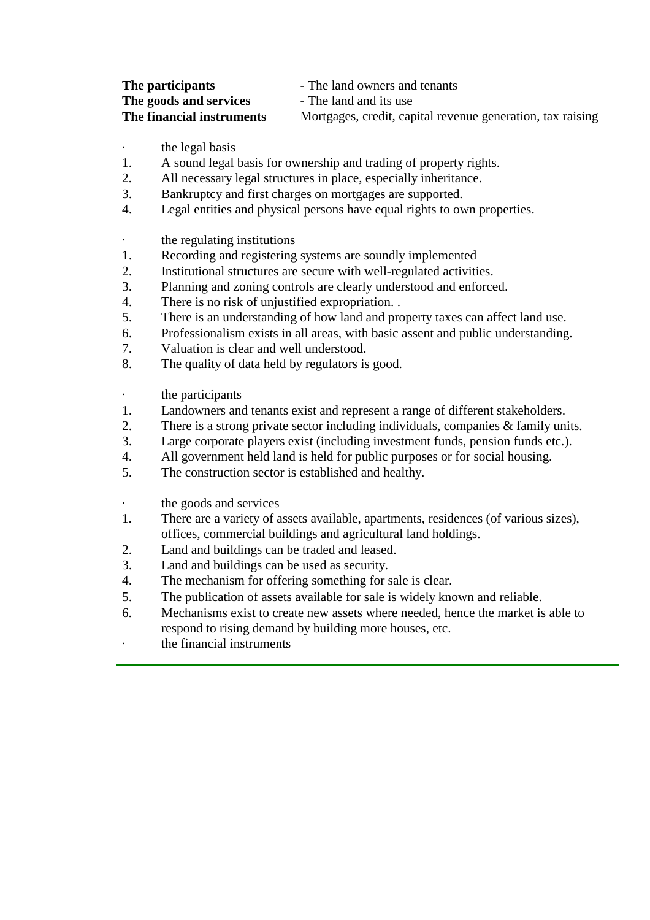| The participants          | - The land owners and tenants                              |
|---------------------------|------------------------------------------------------------|
| The goods and services    | - The land and its use                                     |
| The financial instruments | Mortgages, credit, capital revenue generation, tax raising |

· the legal basis

- 1. A sound legal basis for ownership and trading of property rights.
- 2. All necessary legal structures in place, especially inheritance.
- 3. Bankruptcy and first charges on mortgages are supported.
- 4. Legal entities and physical persons have equal rights to own properties.
- the regulating institutions
- 1. Recording and registering systems are soundly implemented
- 2. Institutional structures are secure with well-regulated activities.
- 3. Planning and zoning controls are clearly understood and enforced.
- 4. There is no risk of unjustified expropriation. .
- 5. There is an understanding of how land and property taxes can affect land use.
- 6. Professionalism exists in all areas, with basic assent and public understanding.
- 7. Valuation is clear and well understood.
- 8. The quality of data held by regulators is good.
- · the participants
- 1. Landowners and tenants exist and represent a range of different stakeholders.
- 2. There is a strong private sector including individuals, companies & family units.
- 3. Large corporate players exist (including investment funds, pension funds etc.).
- 4. All government held land is held for public purposes or for social housing.
- 5. The construction sector is established and healthy.
- the goods and services
- 1. There are a variety of assets available, apartments, residences (of various sizes), offices, commercial buildings and agricultural land holdings.
- 2. Land and buildings can be traded and leased.
- 3. Land and buildings can be used as security.
- 4. The mechanism for offering something for sale is clear.
- 5. The publication of assets available for sale is widely known and reliable.
- 6. Mechanisms exist to create new assets where needed, hence the market is able to respond to rising demand by building more houses, etc.
- the financial instruments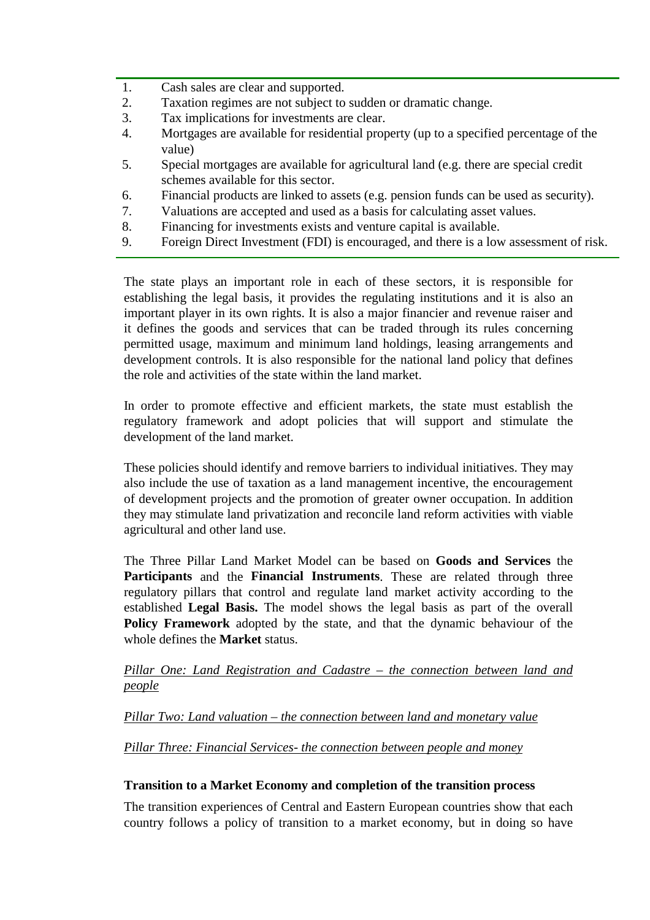- 1. Cash sales are clear and supported.
- 2. Taxation regimes are not subject to sudden or dramatic change.
- 3. Tax implications for investments are clear.
- 4. Mortgages are available for residential property (up to a specified percentage of the value)
- 5. Special mortgages are available for agricultural land (e.g. there are special credit schemes available for this sector.
- 6. Financial products are linked to assets (e.g. pension funds can be used as security).
- 7. Valuations are accepted and used as a basis for calculating asset values.
- 8. Financing for investments exists and venture capital is available.
- 9. Foreign Direct Investment (FDI) is encouraged, and there is a low assessment of risk.

The state plays an important role in each of these sectors, it is responsible for establishing the legal basis, it provides the regulating institutions and it is also an important player in its own rights. It is also a major financier and revenue raiser and it defines the goods and services that can be traded through its rules concerning permitted usage, maximum and minimum land holdings, leasing arrangements and development controls. It is also responsible for the national land policy that defines the role and activities of the state within the land market.

In order to promote effective and efficient markets, the state must establish the regulatory framework and adopt policies that will support and stimulate the development of the land market.

These policies should identify and remove barriers to individual initiatives. They may also include the use of taxation as a land management incentive, the encouragement of development projects and the promotion of greater owner occupation. In addition they may stimulate land privatization and reconcile land reform activities with viable agricultural and other land use.

The Three Pillar Land Market Model can be based on **Goods and Services** the **Participants** and the **Financial Instruments**. These are related through three regulatory pillars that control and regulate land market activity according to the established **Legal Basis.** The model shows the legal basis as part of the overall **Policy Framework** adopted by the state, and that the dynamic behaviour of the whole defines the **Market** status.

# *Pillar One: Land Registration and Cadastre – the connection between land and people*

# *Pillar Two: Land valuation – the connection between land and monetary value*

# *Pillar Three: Financial Services- the connection between people and money*

#### **Transition to a Market Economy and completion of the transition process**

The transition experiences of Central and Eastern European countries show that each country follows a policy of transition to a market economy, but in doing so have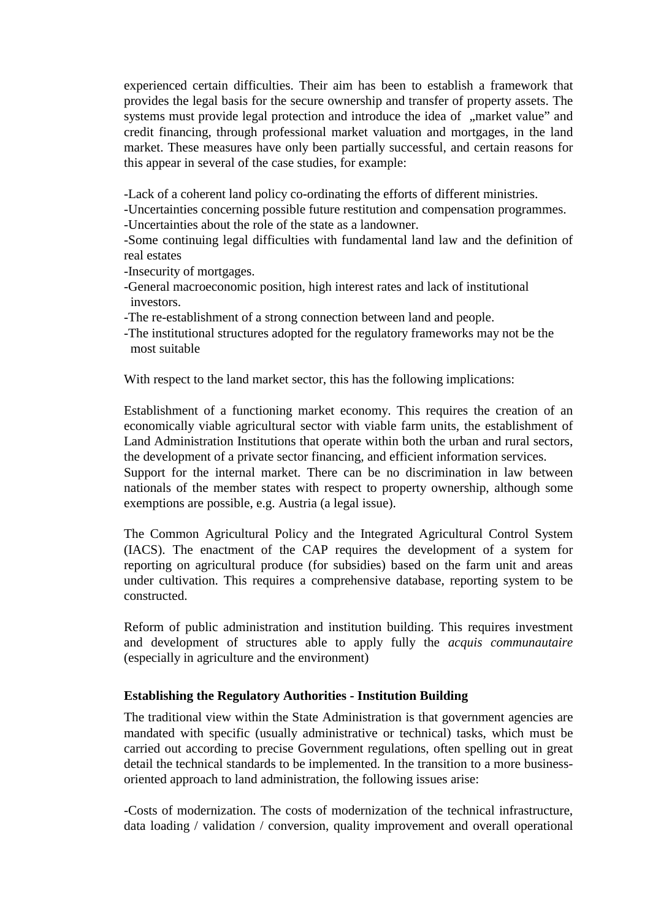experienced certain difficulties. Their aim has been to establish a framework that provides the legal basis for the secure ownership and transfer of property assets. The systems must provide legal protection and introduce the idea of "market value" and credit financing, through professional market valuation and mortgages, in the land market. These measures have only been partially successful, and certain reasons for this appear in several of the case studies, for example:

-Lack of a coherent land policy co-ordinating the efforts of different ministries.

-Uncertainties concerning possible future restitution and compensation programmes.

-Uncertainties about the role of the state as a landowner.

-Some continuing legal difficulties with fundamental land law and the definition of real estates

-Insecurity of mortgages.

- -General macroeconomic position, high interest rates and lack of institutional investors.
- -The re-establishment of a strong connection between land and people.
- -The institutional structures adopted for the regulatory frameworks may not be the most suitable

With respect to the land market sector, this has the following implications:

Establishment of a functioning market economy. This requires the creation of an economically viable agricultural sector with viable farm units, the establishment of Land Administration Institutions that operate within both the urban and rural sectors, the development of a private sector financing, and efficient information services.

Support for the internal market. There can be no discrimination in law between nationals of the member states with respect to property ownership, although some exemptions are possible, e.g. Austria (a legal issue).

The Common Agricultural Policy and the Integrated Agricultural Control System (IACS). The enactment of the CAP requires the development of a system for reporting on agricultural produce (for subsidies) based on the farm unit and areas under cultivation. This requires a comprehensive database, reporting system to be constructed.

Reform of public administration and institution building. This requires investment and development of structures able to apply fully the *acquis communautaire* (especially in agriculture and the environment)

# **Establishing the Regulatory Authorities - Institution Building**

The traditional view within the State Administration is that government agencies are mandated with specific (usually administrative or technical) tasks, which must be carried out according to precise Government regulations, often spelling out in great detail the technical standards to be implemented. In the transition to a more businessoriented approach to land administration, the following issues arise:

-Costs of modernization. The costs of modernization of the technical infrastructure, data loading / validation / conversion, quality improvement and overall operational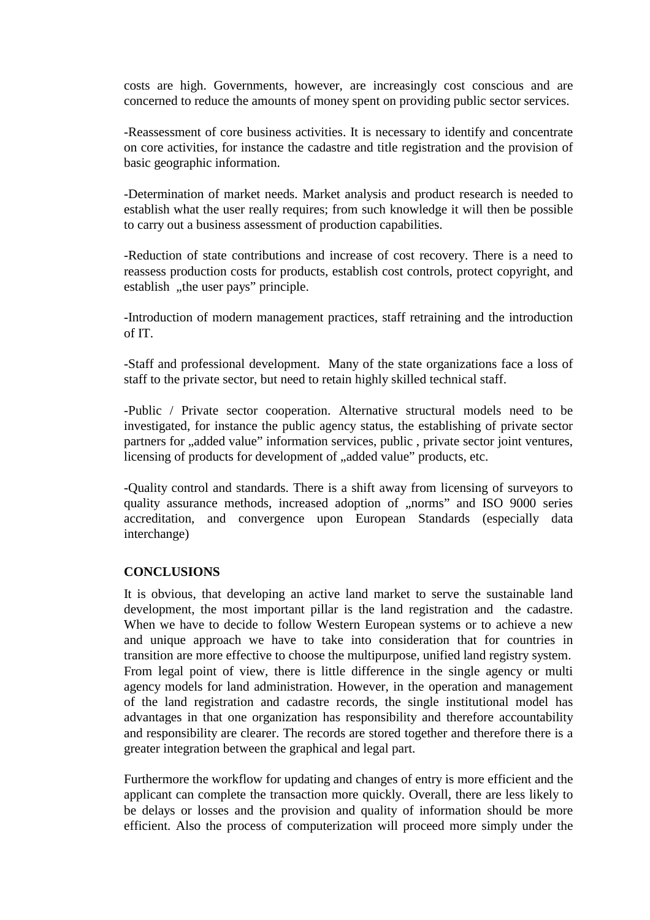costs are high. Governments, however, are increasingly cost conscious and are concerned to reduce the amounts of money spent on providing public sector services.

-Reassessment of core business activities. It is necessary to identify and concentrate on core activities, for instance the cadastre and title registration and the provision of basic geographic information.

-Determination of market needs. Market analysis and product research is needed to establish what the user really requires; from such knowledge it will then be possible to carry out a business assessment of production capabilities.

-Reduction of state contributions and increase of cost recovery. There is a need to reassess production costs for products, establish cost controls, protect copyright, and establish, the user pays" principle.

-Introduction of modern management practices, staff retraining and the introduction of IT.

-Staff and professional development. Many of the state organizations face a loss of staff to the private sector, but need to retain highly skilled technical staff.

-Public / Private sector cooperation. Alternative structural models need to be investigated, for instance the public agency status, the establishing of private sector partners for "added value" information services, public, private sector joint ventures, licensing of products for development of "added value" products, etc.

-Quality control and standards. There is a shift away from licensing of surveyors to quality assurance methods, increased adoption of "norms" and ISO 9000 series accreditation, and convergence upon European Standards (especially data interchange)

#### **CONCLUSIONS**

It is obvious, that developing an active land market to serve the sustainable land development, the most important pillar is the land registration and the cadastre. When we have to decide to follow Western European systems or to achieve a new and unique approach we have to take into consideration that for countries in transition are more effective to choose the multipurpose, unified land registry system. From legal point of view, there is little difference in the single agency or multi agency models for land administration. However, in the operation and management of the land registration and cadastre records, the single institutional model has advantages in that one organization has responsibility and therefore accountability and responsibility are clearer. The records are stored together and therefore there is a greater integration between the graphical and legal part.

Furthermore the workflow for updating and changes of entry is more efficient and the applicant can complete the transaction more quickly. Overall, there are less likely to be delays or losses and the provision and quality of information should be more efficient. Also the process of computerization will proceed more simply under the